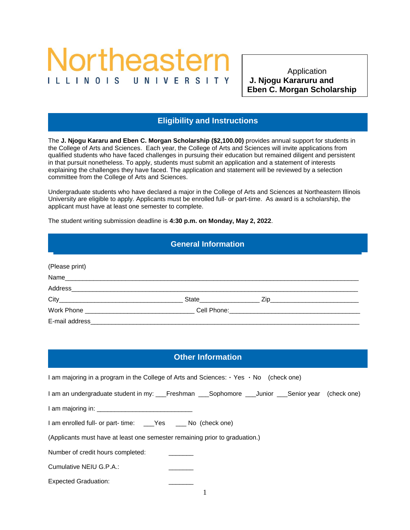# Northeastern I L L I N O I S

**Iligibility and Instructions**  Application **Eben C. Morgan Scholarship** 

 **Scholarship**<br>Scholarshipped Scholarshipped Scholarshipped Scholarshipped Scholarshipped Scholarshipped Scholarshipped Scholarshipped

### **Eligibility and Instructions**

The **J. Njogu Kararu and Eben C. Morgan Scholarship (\$2,100.00)** provides annual support for students in the College of Arts and Sciences. Each year, the College of Arts and Sciences will invite applications from qualified students who have faced challenges in pursuing their education but remained diligent and persistent in that pursuit nonetheless. To apply, students must submit an application and a statement of interests explaining the challenges they have faced. The application and statement will be reviewed by a selection committee from the College of Arts and Sciences.

Undergraduate students who have declared a major in the College of Arts and Sciences at Northeastern Illinois University are eligible to apply. Applicants must be enrolled full- or part-time. As award is a scholarship, the applicant must have at least one semester to complete.

The student writing submission deadline is **4:30 p.m. on Monday, May 2, 2022**.

Other Information

#### **General Information**

General Information **Eligibility and Instructions**

| (Please print) |                          |  |  |
|----------------|--------------------------|--|--|
|                |                          |  |  |
|                |                          |  |  |
|                | State <b>State State</b> |  |  |
|                |                          |  |  |
| E-mail address |                          |  |  |

## **Other Information**

| I am majoring in a program in the College of Arts and Sciences: $\cdot$ Yes $\cdot$ No (check one) |  |  |  |  |
|----------------------------------------------------------------------------------------------------|--|--|--|--|
| I am an undergraduate student in my: ___Freshman ___Sophomore ___Junior ___Senior year (check one) |  |  |  |  |
|                                                                                                    |  |  |  |  |
| 1 am enrolled full- or part- time: ___Yes ____No (check one)                                       |  |  |  |  |
| (Applicants must have at least one semester remaining prior to graduation.)                        |  |  |  |  |
| Number of credit hours completed:                                                                  |  |  |  |  |
| Cumulative NEIU G.P.A.:                                                                            |  |  |  |  |
| <b>Expected Graduation:</b>                                                                        |  |  |  |  |